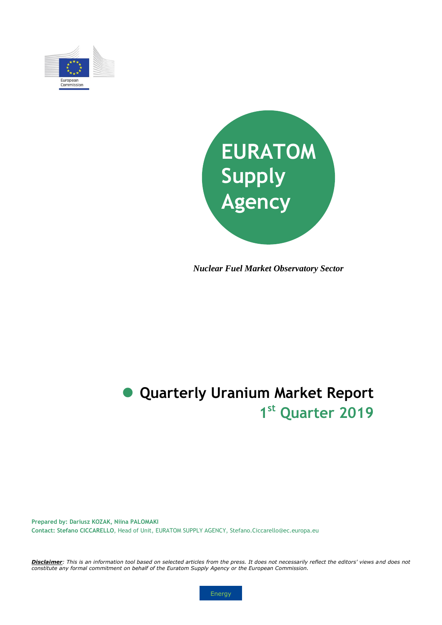



*Nuclear Fuel Market Observatory Sector*

# **1 st Quarter 2019 Quarterly Uranium Market Report**

**Prepared by: Dariusz KOZAK, Niina PALOMAKI Contact: Stefano CICCARELLO**, Head of Unit, EURATOM SUPPLY AGENCY, Stefano.Ciccarello@ec.europa.eu

*Disclaimer: This is an information tool based on selected articles from the press. It does not necessarily reflect the editors' views and does not constitute any formal commitment on behalf of the Euratom Supply Agency or the European Commission.*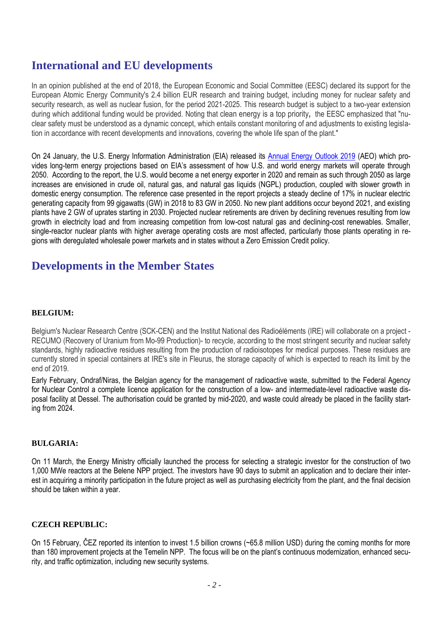# **International and EU developments**

In an opinion published at the end of 2018, the European Economic and Social Committee (EESC) declared its support for the European Atomic Energy Community's 2.4 billion EUR research and training budget, including money for nuclear safety and security research, as well as nuclear fusion, for the period 2021-2025. This research budget is subject to a two-year extension during which additional funding would be provided. Noting that clean energy is a top priority**,** the EESC emphasized that "nuclear safety must be understood as a dynamic concept, which entails constant monitoring of and adjustments to existing legislation in accordance with recent developments and innovations, covering the whole life span of the plant."

On 24 January, the U.S. Energy Information Administration (EIA) released its [Annual Energy Outlook 2019](https://www.eia.gov/outlooks/aeo/pdf/aeo2019.pdf) (AEO) which provides long-term energy projections based on EIA's assessment of how U.S. and world energy markets will operate through 2050. According to the report, the U.S. would become a net energy exporter in 2020 and remain as such through 2050 as large increases are envisioned in crude oil, natural gas, and natural gas liquids (NGPL) production, coupled with slower growth in domestic energy consumption. The reference case presented in the report projects a steady decline of 17% in nuclear electric generating capacity from 99 gigawatts (GW) in 2018 to 83 GW in 2050. No new plant additions occur beyond 2021, and existing plants have 2 GW of uprates starting in 2030. Projected nuclear retirements are driven by declining revenues resulting from low growth in electricity load and from increasing competition from low-cost natural gas and declining-cost renewables. Smaller, single-reactor nuclear plants with higher average operating costs are most affected, particularly those plants operating in regions with deregulated wholesale power markets and in states without a Zero Emission Credit policy.

### **Developments in the Member States**

#### **BELGIUM:**

Belgium's Nuclear Research Centre (SCK-CEN) and the Institut National des Radioéléments (IRE) will collaborate on a project - RECUMO (Recovery of Uranium from Mo-99 Production)- to recycle, according to the most stringent security and nuclear safety standards, highly radioactive residues resulting from the production of radioisotopes for medical purposes. These residues are currently stored in special containers at IRE's site in Fleurus, the storage capacity of which is expected to reach its limit by the end of 2019.

Early February, Ondraf/Niras, the Belgian agency for the management of radioactive waste, submitted to the Federal Agency for Nuclear Control a complete licence application for the construction of a low- and intermediate-level radioactive waste disposal facility at Dessel. The authorisation could be granted by mid-2020, and waste could already be placed in the facility starting from 2024.

#### **BULGARIA:**

On 11 March, the Energy Ministry officially launched the process for selecting a strategic investor for the construction of two 1,000 MWe reactors at the Belene NPP project. The investors have 90 days to submit an application and to declare their interest in acquiring a minority participation in the future project as well as purchasing electricity from the plant, and the final decision should be taken within a year.

#### **CZECH REPUBLIC:**

On 15 February, ČEZ reported its intention to invest 1.5 billion crowns (~65.8 million USD) during the coming months for more than 180 improvement projects at the Temelin NPP. The focus will be on the plant's continuous modernization, enhanced security, and traffic optimization, including new security systems.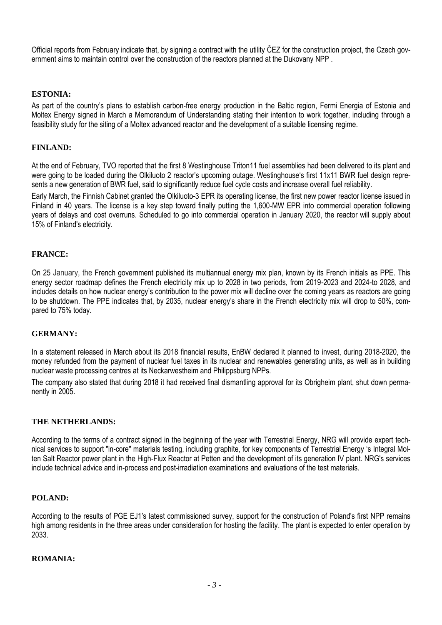Official reports from February indicate that, by signing a contract with the utility ČEZ for the construction project, the Czech government aims to maintain control over the construction of the reactors planned at the Dukovany NPP .

#### **ESTONIA:**

As part of the country's plans to establish carbon-free energy production in the Baltic region, Fermi Energia of Estonia and Moltex Energy signed in March a Memorandum of Understanding stating their intention to work together, including through a feasibility study for the siting of a Moltex advanced reactor and the development of a suitable licensing regime.

#### **FINLAND:**

At the end of February, TVO reported that the first 8 Westinghouse Triton11 fuel assemblies had been delivered to its plant and were going to be loaded during the Olkiluoto 2 reactor's upcoming outage. Westinghouse's first 11x11 BWR fuel design represents a new generation of BWR fuel, said to significantly reduce fuel cycle costs and increase overall fuel reliability.

Early March, the Finnish Cabinet granted the Olkiluoto-3 EPR its operating license, the first new power reactor license issued in Finland in 40 years. The license is a key step toward finally putting the 1,600-MW EPR into commercial operation following years of delays and cost overruns. Scheduled to go into commercial operation in January 2020, the reactor will supply about 15% of Finland's electricity.

#### **FRANCE:**

On 25 January, the French government published its multiannual energy mix plan, known by its French initials as PPE. This energy sector roadmap defines the French electricity mix up to 2028 in two periods, from 2019-2023 and 2024-to 2028, and includes details on how nuclear energy's contribution to the power mix will decline over the coming years as reactors are going to be shutdown. The PPE indicates that, by 2035, nuclear energy's share in the French electricity mix will drop to 50%, compared to 75% today.

#### **GERMANY:**

In a statement released in March about its 2018 financial results, EnBW declared it planned to invest, during 2018-2020, the money refunded from the payment of nuclear fuel taxes in its nuclear and renewables generating units, as well as in building nuclear waste processing centres at its Neckarwestheim and Philippsburg NPPs.

The company also stated that during 2018 it had received final dismantling approval for its Obrigheim plant, shut down permanently in 2005.

#### **THE NETHERLANDS:**

According to the terms of a contract signed in the beginning of the year with Terrestrial Energy, NRG will provide expert technical services to support "in-core" materials testing, including graphite, for key components of Terrestrial Energy 's Integral Molten Salt Reactor power plant in the High-Flux Reactor at Petten and the development of its generation IV plant. NRG's services include technical advice and in-process and post-irradiation examinations and evaluations of the test materials.

#### **POLAND:**

According to the results of PGE EJ1's latest commissioned survey, support for the construction of Poland's first NPP remains high among residents in the three areas under consideration for hosting the facility. The plant is expected to enter operation by 2033.

#### **ROMANIA:**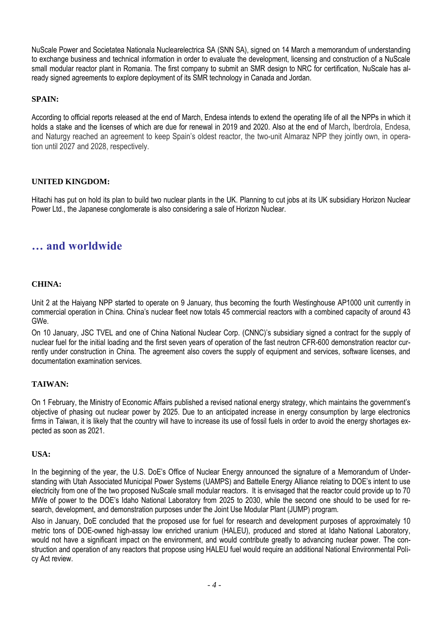NuScale Power and Societatea Nationala Nuclearelectrica SA (SNN SA), signed on 14 March a memorandum of understanding to exchange business and technical information in order to evaluate the development, licensing and construction of a NuScale small modular reactor plant in Romania. The first company to submit an SMR design to NRC for certification, NuScale has already signed agreements to explore deployment of its SMR technology in Canada and Jordan.

#### **SPAIN:**

According to official reports released at the end of March, Endesa intends to extend the operating life of all the NPPs in which it holds a stake and the licenses of which are due for renewal in 2019 and 2020. Also at the end of March**,** Iberdrola, Endesa, and Naturgy reached an agreement to keep Spain's oldest reactor, the two-unit Almaraz NPP they jointly own, in operation until 2027 and 2028, respectively.

#### **UNITED KINGDOM:**

Hitachi has put on hold its plan to build two nuclear plants in the UK. Planning to cut jobs at its UK subsidiary Horizon Nuclear Power Ltd., the Japanese conglomerate is also considering a sale of Horizon Nuclear.

### **… and worldwide**

#### **CHINA:**

Unit 2 at the Haiyang NPP started to operate on 9 January, thus becoming the fourth Westinghouse AP1000 unit currently in commercial operation in China. China's nuclear fleet now totals 45 commercial reactors with a combined capacity of around 43 GWe.

On 10 January, JSC TVEL and one of China National Nuclear Corp. (CNNC)'s subsidiary signed a contract for the supply of nuclear fuel for the initial loading and the first seven years of operation of the fast neutron CFR-600 demonstration reactor currently under construction in China. The agreement also covers the supply of equipment and services, software licenses, and documentation examination services.

#### **TAIWAN:**

On 1 February, the Ministry of Economic Affairs published a revised national energy strategy, which maintains the government's objective of phasing out nuclear power by 2025. Due to an anticipated increase in energy consumption by large electronics firms in Taiwan, it is likely that the country will have to increase its use of fossil fuels in order to avoid the energy shortages expected as soon as 2021.

#### **USA:**

In the beginning of the year, the U.S. DoE's Office of Nuclear Energy announced the signature of a Memorandum of Understanding with Utah Associated Municipal Power Systems (UAMPS) and Battelle Energy Alliance relating to DOE's intent to use electricity from one of the two proposed NuScale small modular reactors. It is envisaged that the reactor could provide up to 70 MWe of power to the DOE's Idaho National Laboratory from 2025 to 2030, while the second one should to be used for research, development, and demonstration purposes under the Joint Use Modular Plant (JUMP) program.

Also in January, DoE concluded that the proposed use for fuel for research and development purposes of approximately 10 metric tons of DOE-owned high-assay low enriched uranium (HALEU), produced and stored at Idaho National Laboratory, would not have a significant impact on the environment, and would contribute greatly to advancing nuclear power. The construction and operation of any reactors that propose using HALEU fuel would require an additional National Environmental Policy Act review.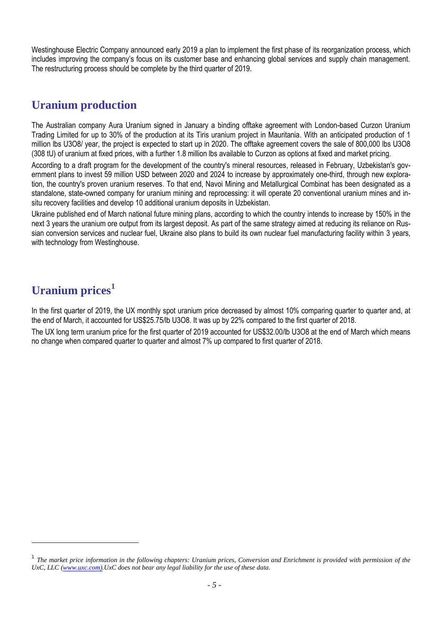Westinghouse Electric Company announced early 2019 a plan to implement the first phase of its reorganization process, which includes improving the company's focus on its customer base and enhancing global services and supply chain management. The restructuring process should be complete by the third quarter of 2019.

# **Uranium production**

The Australian company Aura Uranium signed in January a binding offtake agreement with London-based Curzon Uranium Trading Limited for up to 30% of the production at its Tiris uranium project in Mauritania. With an anticipated production of 1 million lbs U3O8/ year, the project is expected to start up in 2020. The offtake agreement covers the sale of 800,000 lbs U3O8 (308 tU) of uranium at fixed prices, with a further 1.8 million lbs available to Curzon as options at fixed and market pricing.

According to a draft program for the development of the country's mineral resources, released in February, Uzbekistan's government plans to invest 59 million USD between 2020 and 2024 to increase by approximately one-third, through new exploration, the country's proven uranium reserves. To that end, Navoi Mining and Metallurgical Combinat has been designated as a standalone, state-owned company for uranium mining and reprocessing: it will operate 20 conventional uranium mines and insitu recovery facilities and develop 10 additional uranium deposits in Uzbekistan.

Ukraine published end of March national future mining plans, according to which the country intends to increase by 150% in the next 3 years the uranium ore output from its largest deposit. As part of the same strategy aimed at reducing its reliance on Russian conversion services and nuclear fuel, Ukraine also plans to build its own nuclear fuel manufacturing facility within 3 years, with technology from Westinghouse.

# **Uranium prices<sup>1</sup>**

l

In the first quarter of 2019, the UX monthly spot uranium price decreased by almost 10% comparing quarter to quarter and, at the end of March, it accounted for US\$25.75/lb U3O8. It was up by 22% compared to the first quarter of 2018.

The UX long term uranium price for the first quarter of 2019 accounted for US\$32.00/lb U3O8 at the end of March which means no change when compared quarter to quarter and almost 7% up compared to first quarter of 2018.

<sup>&</sup>lt;sup>1</sup> The market price information in the following chapters: Uranium prices, Conversion and Enrichment is provided with permission of the *UxC, LLC [\(www.uxc.com\)](http://www.uxc.com/).UxC does not bear any legal liability for the use of these data.*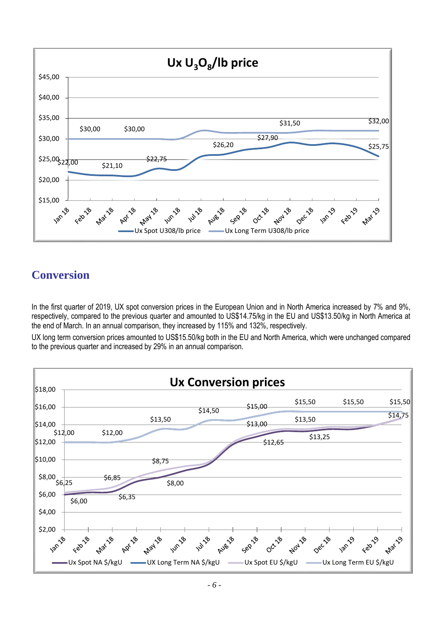

# **Conversion**

In the first quarter of 2019, UX spot conversion prices in the European Union and in North America increased by 7% and 9%, respectively, compared to the previous quarter and amounted to US\$14.75/kg in the EU and US\$13.50/kg in North America at the end of March. In an annual comparison, they increased by 115% and 132%, respectively.

UX long term conversion prices amounted to US\$15.50/kg both in the EU and North America, which were unchanged compared to the previous quarter and increased by 29% in an annual comparison.

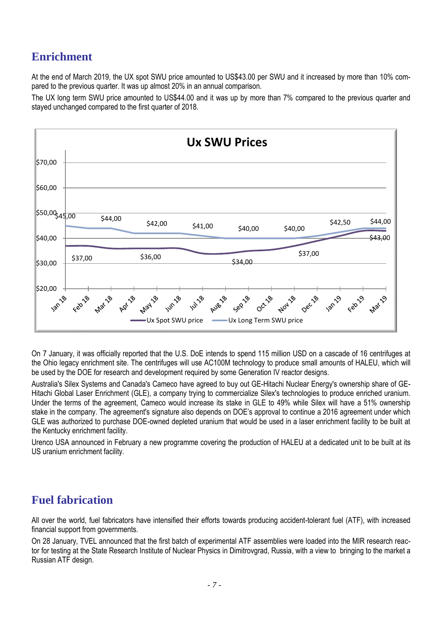# **Enrichment**

At the end of March 2019, the UX spot SWU price amounted to US\$43.00 per SWU and it increased by more than 10% compared to the previous quarter. It was up almost 20% in an annual comparison.

The UX long term SWU price amounted to US\$44.00 and it was up by more than 7% compared to the previous quarter and stayed unchanged compared to the first quarter of 2018.



On 7 January, it was officially reported that the U.S. DoE intends to spend 115 million USD on a cascade of 16 centrifuges at the Ohio legacy enrichment site. The centrifuges will use AC100M technology to produce small amounts of HALEU, which will be used by the DOE for research and development required by some Generation IV reactor designs.

Australia's Silex Systems and Canada's Cameco have agreed to buy out GE-Hitachi Nuclear Energy's ownership share of GE-Hitachi Global Laser Enrichment (GLE), a company trying to commercialize Silex's technologies to produce enriched uranium. Under the terms of the agreement, Cameco would increase its stake in GLE to 49% while Silex will have a 51% ownership stake in the company. The agreement's signature also depends on DOE's approval to continue a 2016 agreement under which GLE was authorized to purchase DOE-owned depleted uranium that would be used in a laser enrichment facility to be built at the Kentucky enrichment facility.

Urenco USA announced in February a new programme covering the production of HALEU at a dedicated unit to be built at its US uranium enrichment facility.

### **Fuel fabrication**

All over the world, fuel fabricators have intensified their efforts towards producing accident-tolerant fuel (ATF), with increased financial support from governments.

On 28 January, TVEL announced that the first batch of experimental ATF assemblies were loaded into the MIR research reactor for testing at the State Research Institute of Nuclear Physics in Dimitrovgrad, Russia, with a view to bringing to the market a Russian ATF design.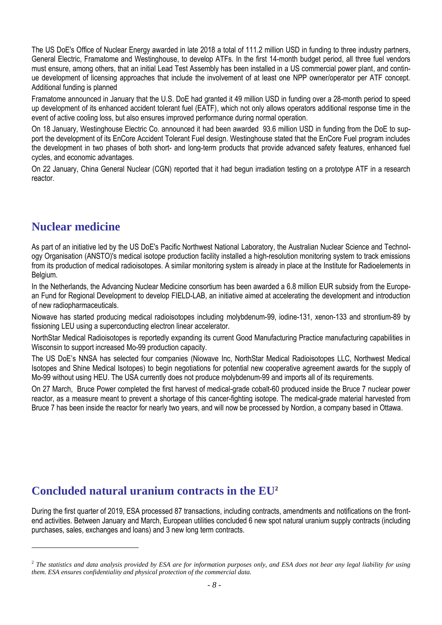The US DoE's Office of Nuclear Energy awarded in late 2018 a total of 111.2 million USD in funding to three industry partners, General Electric, Framatome and Westinghouse, to develop ATFs. In the first 14-month budget period, all three fuel vendors must ensure, among others, that an initial Lead Test Assembly has been installed in a US commercial power plant, and continue development of licensing approaches that include the involvement of at least one NPP owner/operator per ATF concept. Additional funding is planned

Framatome announced in January that the U.S. DoE had granted it 49 million USD in funding over a 28-month period to speed up development of its enhanced accident tolerant fuel (EATF), which not only allows operators additional response time in the event of active cooling loss, but also ensures improved performance during normal operation.

On 18 January, Westinghouse Electric Co. announced it had been awarded 93.6 million USD in funding from the DoE to support the development of its EnCore Accident Tolerant Fuel design. Westinghouse stated that the EnCore Fuel program includes the development in two phases of both short- and long-term products that provide advanced safety features, enhanced fuel cycles, and economic advantages.

On 22 January, China General Nuclear (CGN) reported that it had begun irradiation testing on a prototype ATF in a research reactor.

### **Nuclear medicine**

l

As part of an initiative led by the US DoE's Pacific Northwest National Laboratory, the Australian Nuclear Science and Technology Organisation (ANSTO)'s medical isotope production facility installed a high-resolution monitoring system to track emissions from its production of medical radioisotopes. A similar monitoring system is already in place at the Institute for Radioelements in Belgium.

In the Netherlands, the Advancing Nuclear Medicine consortium has been awarded a 6.8 million EUR subsidy from the European Fund for Regional Development to develop FIELD-LAB, an initiative aimed at accelerating the development and introduction of new radiopharmaceuticals.

Niowave has started producing medical radioisotopes including molybdenum-99, iodine-131, xenon-133 and strontium-89 by fissioning LEU using a superconducting electron linear accelerator.

NorthStar Medical Radioisotopes is reportedly expanding its current Good Manufacturing Practice manufacturing capabilities in Wisconsin to support increased Mo-99 production capacity.

The US DoE's NNSA has selected four companies (Niowave Inc, NorthStar Medical Radioisotopes LLC, Northwest Medical Isotopes and Shine Medical Isotopes) to begin negotiations for potential new cooperative agreement awards for the supply of Mo-99 without using HEU. The USA currently does not produce molybdenum-99 and imports all of its requirements.

On 27 March, Bruce Power completed the first harvest of medical-grade cobalt-60 produced inside the Bruce 7 nuclear power reactor, as a measure meant to prevent a shortage of this cancer-fighting isotope. The medical-grade material harvested from Bruce 7 has been inside the reactor for nearly two years, and will now be processed by Nordion, a company based in Ottawa.

### **Concluded natural uranium contracts in the EU<sup>2</sup>**

During the first quarter of 2019, ESA processed 87 transactions, including contracts, amendments and notifications on the frontend activities. Between January and March, European utilities concluded 6 new spot natural uranium supply contracts (including purchases, sales, exchanges and loans) and 3 new long term contracts.

<sup>2</sup> *The statistics and data analysis provided by ESA are for information purposes only, and ESA does not bear any legal liability for using them. ESA ensures confidentiality and physical protection of the commercial data.*